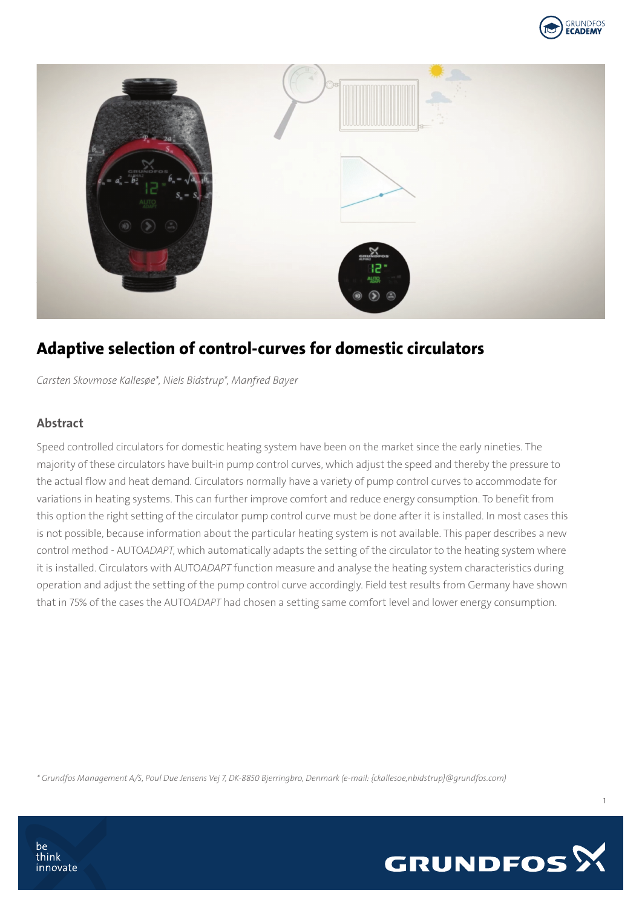



# Adaptive selection of control-curves for domestic circulators

*Carsten Skovmose Kallesøe\*, Niels Bidstrup\*, Manfred Bayer* 

### Abstract

Speed controlled circulators for domestic heating system have been on the market since the early nineties. The majority of these circulators have built-in pump control curves, which adjust the speed and thereby the pressure to the actual flow and heat demand. Circulators normally have a variety of pump control curves to accommodate for variations in heating systems. This can further improve comfort and reduce energy consumption. To benefit from this option the right setting of the circulator pump control curve must be done after it is installed. In most cases this is not possible, because information about the particular heating system is not available. This paper describes a new control method - AUTO*ADAPT*, which automatically adapts the setting of the circulator to the heating system where it is installed. Circulators with AUTO*ADAPT* function measure and analyse the heating system characteristics during operation and adjust the setting of the pump control curve accordingly. Field test results from Germany have shown that in 75% of the cases the AUTO*ADAPT* had chosen a setting same comfort level and lower energy consumption.

*\* Grundfos Management A/S, Poul Due Jensens Vej 7, DK-8850 Bjerringbro, Denmark (e-mail: {ckallesoe,nbidstrup}@grundfos.com)*

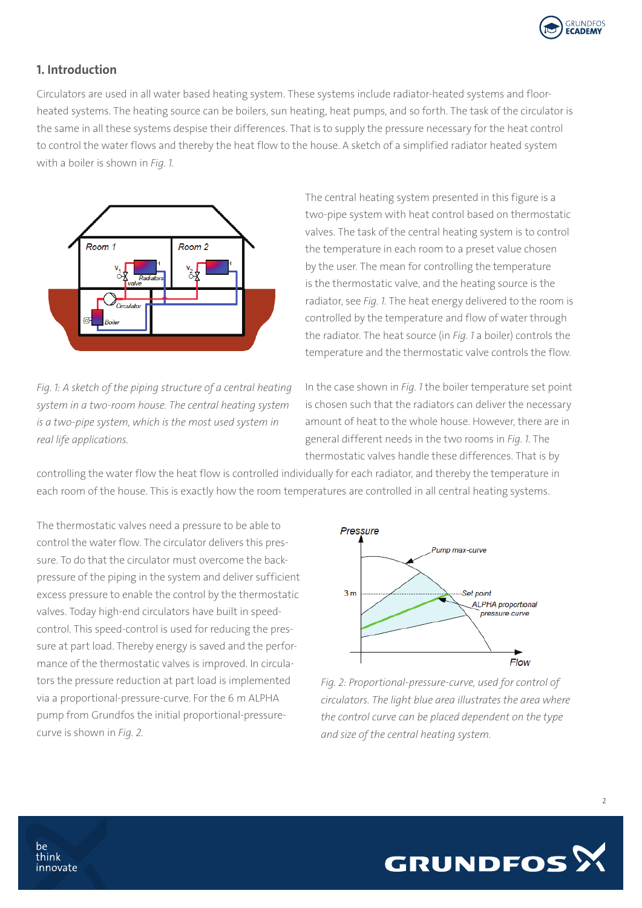

### 1. Introduction

Circulators are used in all water based heating system. These systems include radiator-heated systems and floorheated systems. The heating source can be boilers, sun heating, heat pumps, and so forth. The task of the circulator is the same in all these systems despise their differences. That is to supply the pressure necessary for the heat control to control the water flows and thereby the heat flow to the house. A sketch of a simplified radiator heated system with a boiler is shown in *Fig. 1.*



*Fig. 1: A sketch of the piping structure of a central heating system in a two-room house. The central heating system is a two-pipe system, which is the most used system in real life applications.* 

The central heating system presented in this figure is a two-pipe system with heat control based on thermostatic valves. The task of the central heating system is to control the temperature in each room to a preset value chosen by the user. The mean for controlling the temperature is the thermostatic valve, and the heating source is the radiator, see *Fig. 1*. The heat energy delivered to the room is controlled by the temperature and flow of water through the radiator. The heat source (in *Fig. 1* a boiler) controls the temperature and the thermostatic valve controls the flow.

In the case shown in *Fig. 1* the boiler temperature set point is chosen such that the radiators can deliver the necessary amount of heat to the whole house. However, there are in general different needs in the two rooms in *Fig. 1*. The thermostatic valves handle these differences. That is by

controlling the water flow the heat flow is controlled individually for each radiator, and thereby the temperature in each room of the house. This is exactly how the room temperatures are controlled in all central heating systems.

The thermostatic valves need a pressure to be able to control the water flow. The circulator delivers this pressure. To do that the circulator must overcome the backpressure of the piping in the system and deliver sufficient excess pressure to enable the control by the thermostatic valves. Today high-end circulators have built in speedcontrol. This speed-control is used for reducing the pressure at part load. Thereby energy is saved and the performance of the thermostatic valves is improved. In circulators the pressure reduction at part load is implemented via a proportional-pressure-curve. For the 6 m ALPHA pump from Grundfos the initial proportional-pressurecurve is shown in *Fig. 2*.



*Fig. 2: Proportional-pressure-curve, used for control of circulators. The light blue area illustrates the area where the control curve can be placed dependent on the type and size of the central heating system.*



 $\overline{2}$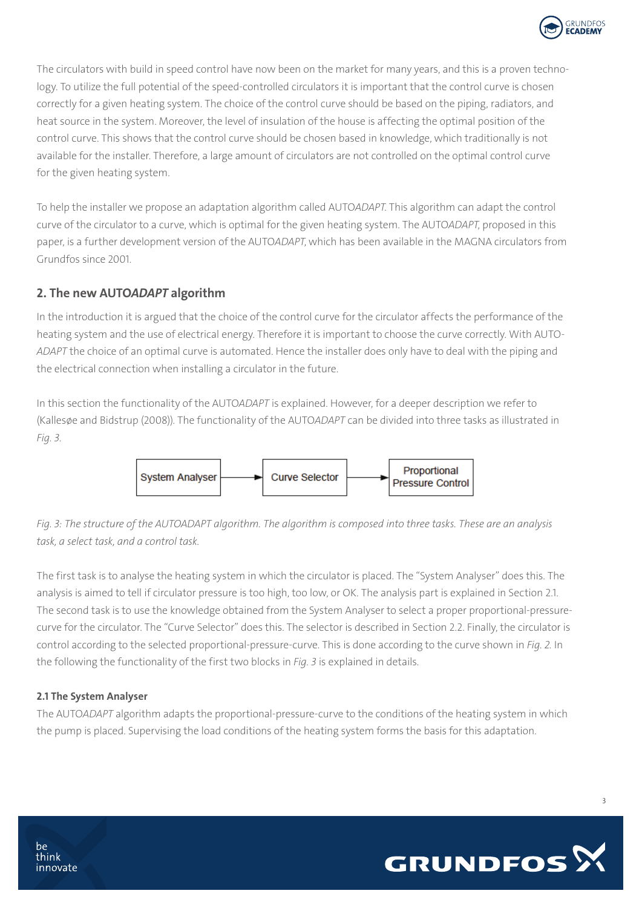

The circulators with build in speed control have now been on the market for many years, and this is a proven technology. To utilize the full potential of the speed-controlled circulators it is important that the control curve is chosen correctly for a given heating system. The choice of the control curve should be based on the piping, radiators, and heat source in the system. Moreover, the level of insulation of the house is affecting the optimal position of the control curve. This shows that the control curve should be chosen based in knowledge, which traditionally is not available for the installer. Therefore, a large amount of circulators are not controlled on the optimal control curve for the given heating system.

To help the installer we propose an adaptation algorithm called AUTO*ADAPT*. This algorithm can adapt the control curve of the circulator to a curve, which is optimal for the given heating system. The AUTO*ADAPT*, proposed in this paper, is a further development version of the AUTO*ADAPT*, which has been available in the MAGNA circulators from Grundfos since 2001.

## 2. The new AUTO*ADAPT* algorithm

In the introduction it is argued that the choice of the control curve for the circulator affects the performance of the heating system and the use of electrical energy. Therefore it is important to choose the curve correctly. With AUTO-*ADAPT* the choice of an optimal curve is automated. Hence the installer does only have to deal with the piping and the electrical connection when installing a circulator in the future.

In this section the functionality of the AUTO*ADAPT* is explained. However, for a deeper description we refer to (Kallesøe and Bidstrup (2008)). The functionality of the AUTO*ADAPT* can be divided into three tasks as illustrated in *Fig. 3*.



*Fig. 3: The structure of the AUTOADAPT algorithm. The algorithm is composed into three tasks. These are an analysis task, a select task, and a control task.* 

The first task is to analyse the heating system in which the circulator is placed. The "System Analyser" does this. The analysis is aimed to tell if circulator pressure is too high, too low, or OK. The analysis part is explained in Section 2.1. The second task is to use the knowledge obtained from the System Analyser to select a proper proportional-pressurecurve for the circulator. The "Curve Selector" does this. The selector is described in Section 2.2. Finally, the circulator is control according to the selected proportional-pressure-curve. This is done according to the curve shown in *Fig. 2.* In the following the functionality of the first two blocks in *Fig. 3* is explained in details.

#### 2.1 The System Analyser

The AUTO*ADAPT* algorithm adapts the proportional-pressure-curve to the conditions of the heating system in which the pump is placed. Supervising the load conditions of the heating system forms the basis for this adaptation.

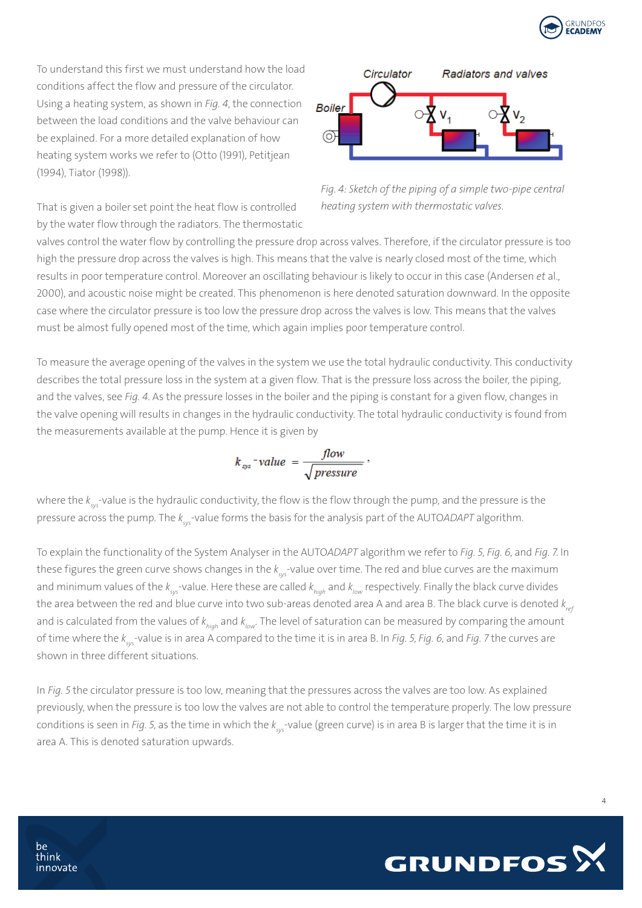

To understand this first we must understand how the load conditions affect the flow and pressure of the circulator. Using a heating system, as shown in *Fig. 4*, the connection between the load conditions and the valve behaviour can be explained. For a more detailed explanation of how heating system works we refer to (Otto (1991), Petitjean (1994), Tiator (1998)).



That is given a boiler set point the heat flow is controlled by the water flow through the radiators. The thermostatic



valves control the water flow by controlling the pressure drop across valves. Therefore, if the circulator pressure is too high the pressure drop across the valves is high. This means that the valve is nearly closed most of the time, which results in poor temperature control. Moreover an oscillating behaviour is likely to occur in this case (Andersen *et* al., 2000), and acoustic noise might be created. This phenomenon is here denoted saturation downward. In the opposite case where the circulator pressure is too low the pressure drop across the valves is low. This means that the valves must be almost fully opened most of the time, which again implies poor temperature control.

To measure the average opening of the valves in the system we use the total hydraulic conductivity. This conductivity describes the total pressure loss in the system at a given flow. That is the pressure loss across the boiler, the piping, and the valves, see *Fig. 4*. As the pressure losses in the boiler and the piping is constant for a given flow, changes in the valve opening will results in changes in the hydraulic conductivity. The total hydraulic conductivity is found from the measurements available at the pump. Hence it is given by

$$
k_{sys} = value = \frac{flow}{\sqrt{pressure}}
$$

where the *k sys-*value is the hydraulic conductivity, the flow is the flow through the pump, and the pressure is the pressure across the pump. The *k sys*-value forms the basis for the analysis part of the AUTO*ADAPT* algorithm.

To explain the functionality of the System Analyser in the AUTO*ADAPT* algorithm we refer to *Fig. 5*, *Fig. 6*, and *Fig. 7*. In these figures the green curve shows changes in the  $k_{_{\rm sys}}$ -value over time. The red and blue curves are the maximum and minimum values of the  $k_{\rm sys}$ -value. Here these are called  $k_{_{high}}$  and  $k_{_{low}}$  respectively. Finally the black curve divides the area between the red and blue curve into two sub-areas denoted area A and area B. The black curve is denoted  $k_{ref}$ and is calculated from the values of  $k_{high}$  and  $k_{low}$ . The level of saturation can be measured by comparing the amount of time where the *k sys*-value is in area A compared to the time it is in area B. In *Fig. 5*, *Fig. 6*, and *Fig. 7* the curves are shown in three different situations.

In *Fig. 5* the circulator pressure is too low, meaning that the pressures across the valves are too low. As explained previously, when the pressure is too low the valves are not able to control the temperature properly. The low pressure conditions is seen in *Fig. 5*, as the time in which the *k sys*-value (green curve) is in area B is larger that the time it is in area A. This is denoted saturation upwards.

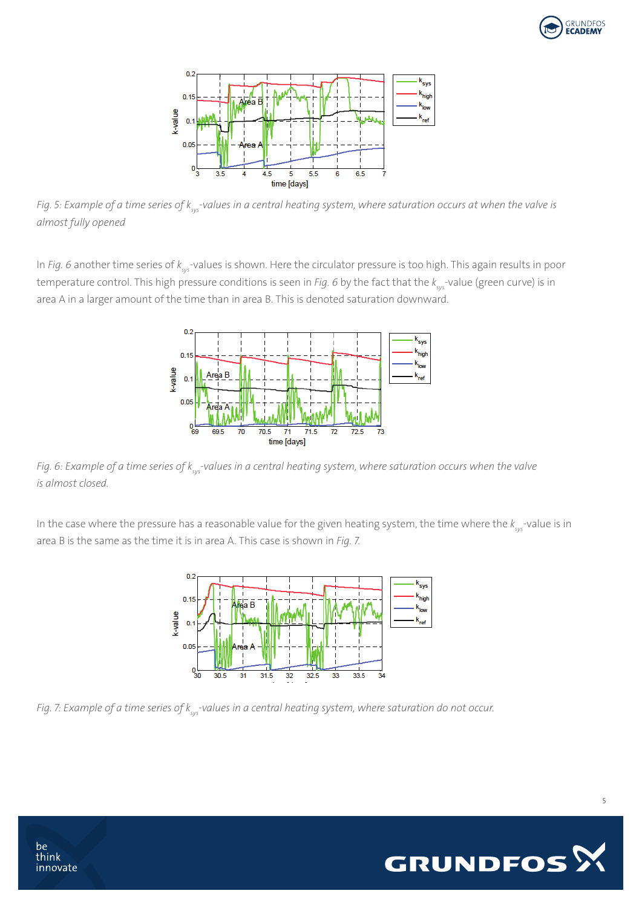



*Fig. 5: Example of a time series of k<sub>sys</sub>-values in a central heating system, where saturation occurs at when the valve is almost fully opened*

In *Fig. 6* another time series of  $k_{\rm sys}$ -values is shown. Here the circulator pressure is too high. This again results in poor temperature control. This high pressure conditions is seen in *Fig. 6* by the fact that the *k sys*-value (green curve) is in area A in a larger amount of the time than in area B. This is denoted saturation downward.



*Fig. 6: Example of a time series of k<sub>sys</sub>-values in a central heating system, where saturation occurs when the valve is almost closed.* 

In the case where the pressure has a reasonable value for the given heating system, the time where the  $k_{_{\rm sys}}$ -value is in area B is the same as the time it is in area A. This case is shown in *Fig. 7*.



*Fig. 7: Example of a time series of k<sub>sys</sub>-values in a central heating system, where saturation do not occur.* 

be

think innovate

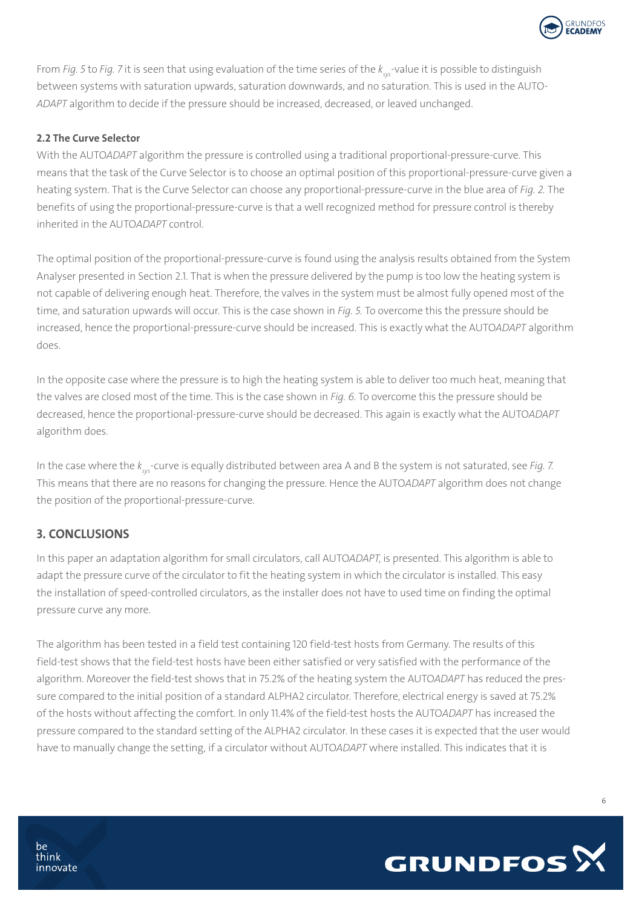

From *Fig. 5* to *Fig. 7* it is seen that using evaluation of the time series of the *k sys*-value it is possible to distinguish between systems with saturation upwards, saturation downwards, and no saturation. This is used in the AUTO-*ADAPT* algorithm to decide if the pressure should be increased, decreased, or leaved unchanged.

#### 2.2 The Curve Selector

With the AUTO*ADAPT* algorithm the pressure is controlled using a traditional proportional-pressure-curve. This means that the task of the Curve Selector is to choose an optimal position of this proportional-pressure-curve given a heating system. That is the Curve Selector can choose any proportional-pressure-curve in the blue area of *Fig. 2.* The benefits of using the proportional-pressure-curve is that a well recognized method for pressure control is thereby inherited in the AUTO*ADAPT* control.

The optimal position of the proportional-pressure-curve is found using the analysis results obtained from the System Analyser presented in Section 2.1. That is when the pressure delivered by the pump is too low the heating system is not capable of delivering enough heat. Therefore, the valves in the system must be almost fully opened most of the time, and saturation upwards will occur. This is the case shown in *Fig. 5.* To overcome this the pressure should be increased, hence the proportional-pressure-curve should be increased. This is exactly what the AUTO*ADAPT* algorithm does.

In the opposite case where the pressure is to high the heating system is able to deliver too much heat, meaning that the valves are closed most of the time. This is the case shown in *Fig. 6*. To overcome this the pressure should be decreased, hence the proportional-pressure-curve should be decreased. This again is exactly what the AUTO*ADAPT* algorithm does.

In the case where the *k sys*-curve is equally distributed between area A and B the system is not saturated, see *Fig. 7*. This means that there are no reasons for changing the pressure. Hence the AUTO*ADAPT* algorithm does not change the position of the proportional-pressure-curve.

#### 3. CONCLUSIONS

In this paper an adaptation algorithm for small circulators, call AUTO*ADAPT*, is presented. This algorithm is able to adapt the pressure curve of the circulator to fit the heating system in which the circulator is installed. This easy the installation of speed-controlled circulators, as the installer does not have to used time on finding the optimal pressure curve any more.

The algorithm has been tested in a field test containing 120 field-test hosts from Germany. The results of this field-test shows that the field-test hosts have been either satisfied or very satisfied with the performance of the algorithm. Moreover the field-test shows that in 75.2% of the heating system the AUTO*ADAPT* has reduced the pressure compared to the initial position of a standard ALPHA2 circulator. Therefore, electrical energy is saved at 75.2% of the hosts without affecting the comfort. In only 11.4% of the field-test hosts the AUTO*ADAPT* has increased the pressure compared to the standard setting of the ALPHA2 circulator. In these cases it is expected that the user would have to manually change the setting, if a circulator without AUTO*ADAPT* where installed. This indicates that it is